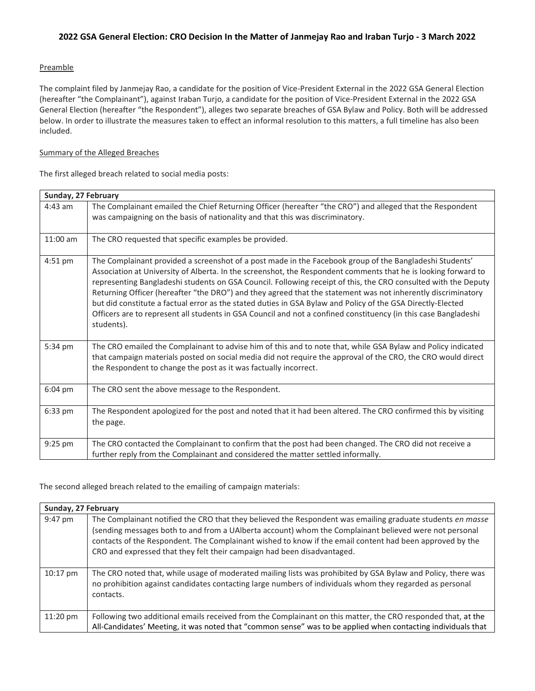### Preamble

The complaint filed by Janmejay Rao, a candidate for the position of Vice-President External in the 2022 GSA General Election (hereafter "the Complainant"), against Iraban Turjo, a candidate for the position of Vice-President External in the 2022 GSA General Election (hereafter "the Respondent"), alleges two separate breaches of GSA Bylaw and Policy. Both will be addressed below. In order to illustrate the measures taken to effect an informal resolution to this matters, a full timeline has also been included.

### Summary of the Alleged Breaches

The first alleged breach related to social media posts:

| Sunday, 27 February |                                                                                                                                                                                                                                                                                                                                                                                                                                                                                                                                                                                                                                                                                                             |  |
|---------------------|-------------------------------------------------------------------------------------------------------------------------------------------------------------------------------------------------------------------------------------------------------------------------------------------------------------------------------------------------------------------------------------------------------------------------------------------------------------------------------------------------------------------------------------------------------------------------------------------------------------------------------------------------------------------------------------------------------------|--|
| $4:43$ am           | The Complainant emailed the Chief Returning Officer (hereafter "the CRO") and alleged that the Respondent<br>was campaigning on the basis of nationality and that this was discriminatory.                                                                                                                                                                                                                                                                                                                                                                                                                                                                                                                  |  |
| 11:00 am            | The CRO requested that specific examples be provided.                                                                                                                                                                                                                                                                                                                                                                                                                                                                                                                                                                                                                                                       |  |
| $4:51$ pm           | The Complainant provided a screenshot of a post made in the Facebook group of the Bangladeshi Students'<br>Association at University of Alberta. In the screenshot, the Respondent comments that he is looking forward to<br>representing Bangladeshi students on GSA Council. Following receipt of this, the CRO consulted with the Deputy<br>Returning Officer (hereafter "the DRO") and they agreed that the statement was not inherently discriminatory<br>but did constitute a factual error as the stated duties in GSA Bylaw and Policy of the GSA Directly-Elected<br>Officers are to represent all students in GSA Council and not a confined constituency (in this case Bangladeshi<br>students). |  |
| 5:34 pm             | The CRO emailed the Complainant to advise him of this and to note that, while GSA Bylaw and Policy indicated<br>that campaign materials posted on social media did not require the approval of the CRO, the CRO would direct<br>the Respondent to change the post as it was factually incorrect.                                                                                                                                                                                                                                                                                                                                                                                                            |  |
| $6:04 \text{ pm}$   | The CRO sent the above message to the Respondent.                                                                                                                                                                                                                                                                                                                                                                                                                                                                                                                                                                                                                                                           |  |
| 6:33 pm             | The Respondent apologized for the post and noted that it had been altered. The CRO confirmed this by visiting<br>the page.                                                                                                                                                                                                                                                                                                                                                                                                                                                                                                                                                                                  |  |
| 9:25 pm             | The CRO contacted the Complainant to confirm that the post had been changed. The CRO did not receive a<br>further reply from the Complainant and considered the matter settled informally.                                                                                                                                                                                                                                                                                                                                                                                                                                                                                                                  |  |

The second alleged breach related to the emailing of campaign materials:

| Sunday, 27 February |                                                                                                                                                                                                                                                                                                                                                                                                             |  |
|---------------------|-------------------------------------------------------------------------------------------------------------------------------------------------------------------------------------------------------------------------------------------------------------------------------------------------------------------------------------------------------------------------------------------------------------|--|
| 9:47 pm             | The Complainant notified the CRO that they believed the Respondent was emailing graduate students en masse<br>(sending messages both to and from a UAIberta account) whom the Complainant believed were not personal<br>contacts of the Respondent. The Complainant wished to know if the email content had been approved by the<br>CRO and expressed that they felt their campaign had been disadvantaged. |  |
| $10:17$ pm          | The CRO noted that, while usage of moderated mailing lists was prohibited by GSA Bylaw and Policy, there was<br>no prohibition against candidates contacting large numbers of individuals whom they regarded as personal<br>contacts.                                                                                                                                                                       |  |
| $11:20$ pm          | Following two additional emails received from the Complainant on this matter, the CRO responded that, at the<br>All-Candidates' Meeting, it was noted that "common sense" was to be applied when contacting individuals that                                                                                                                                                                                |  |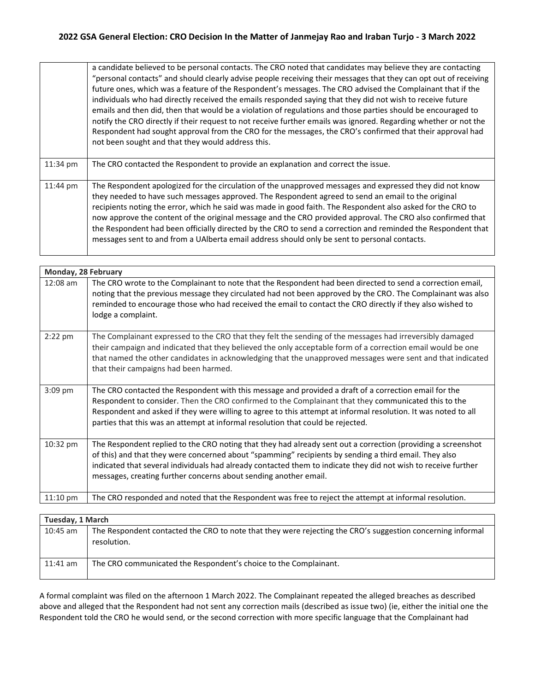a candidate believed to be personal contacts. The CRO noted that candidates may believe they are contacting "personal contacts" and should clearly advise people receiving their messages that they can opt out of receiving future ones, which was a feature of the Respondent's messages. The CRO advised the Complainant that if the individuals who had directly received the emails responded saying that they did not wish to receive future emails and then did, then that would be a violation of regulations and those parties should be encouraged to notify the CRO directly if their request to not receive further emails was ignored. Regarding whether or not the Respondent had sought approval from the CRO for the messages, the CRO's confirmed that their approval had not been sought and that they would address this.

| $11:34 \text{ pm}$ | The CRO contacted the Respondent to provide an explanation and correct the issue.                                                                                                                                                                                                                                                                                                                                                                                                                                                                                                                                                                           |
|--------------------|-------------------------------------------------------------------------------------------------------------------------------------------------------------------------------------------------------------------------------------------------------------------------------------------------------------------------------------------------------------------------------------------------------------------------------------------------------------------------------------------------------------------------------------------------------------------------------------------------------------------------------------------------------------|
| $11:44$ pm         | The Respondent apologized for the circulation of the unapproved messages and expressed they did not know<br>they needed to have such messages approved. The Respondent agreed to send an email to the original<br>recipients noting the error, which he said was made in good faith. The Respondent also asked for the CRO to<br>now approve the content of the original message and the CRO provided approval. The CRO also confirmed that<br>the Respondent had been officially directed by the CRO to send a correction and reminded the Respondent that<br>messages sent to and from a UAIberta email address should only be sent to personal contacts. |

| Monday, 28 February |                                                                                                                                                                                                                                                                                                                                                                                                                    |  |
|---------------------|--------------------------------------------------------------------------------------------------------------------------------------------------------------------------------------------------------------------------------------------------------------------------------------------------------------------------------------------------------------------------------------------------------------------|--|
| $12:08$ am          | The CRO wrote to the Complainant to note that the Respondent had been directed to send a correction email,<br>noting that the previous message they circulated had not been approved by the CRO. The Complainant was also<br>reminded to encourage those who had received the email to contact the CRO directly if they also wished to<br>lodge a complaint.                                                       |  |
| $2:22$ pm           | The Complainant expressed to the CRO that they felt the sending of the messages had irreversibly damaged<br>their campaign and indicated that they believed the only acceptable form of a correction email would be one<br>that named the other candidates in acknowledging that the unapproved messages were sent and that indicated<br>that their campaigns had been harmed.                                     |  |
| 3:09 pm             | The CRO contacted the Respondent with this message and provided a draft of a correction email for the<br>Respondent to consider. Then the CRO confirmed to the Complainant that they communicated this to the<br>Respondent and asked if they were willing to agree to this attempt at informal resolution. It was noted to all<br>parties that this was an attempt at informal resolution that could be rejected. |  |
| 10:32 pm            | The Respondent replied to the CRO noting that they had already sent out a correction (providing a screenshot<br>of this) and that they were concerned about "spamming" recipients by sending a third email. They also<br>indicated that several individuals had already contacted them to indicate they did not wish to receive further<br>messages, creating further concerns about sending another email.        |  |
| $11:10$ pm          | The CRO responded and noted that the Respondent was free to reject the attempt at informal resolution.                                                                                                                                                                                                                                                                                                             |  |

| Tuesday, 1 March |                                                                                                                           |  |
|------------------|---------------------------------------------------------------------------------------------------------------------------|--|
| $10:45$ am       | The Respondent contacted the CRO to note that they were rejecting the CRO's suggestion concerning informal<br>resolution. |  |
| $11:41$ am       | The CRO communicated the Respondent's choice to the Complainant.                                                          |  |

A formal complaint was filed on the afternoon 1 March 2022. The Complainant repeated the alleged breaches as described above and alleged that the Respondent had not sent any correction mails (described as issue two) (ie, either the initial one the Respondent told the CRO he would send, or the second correction with more specific language that the Complainant had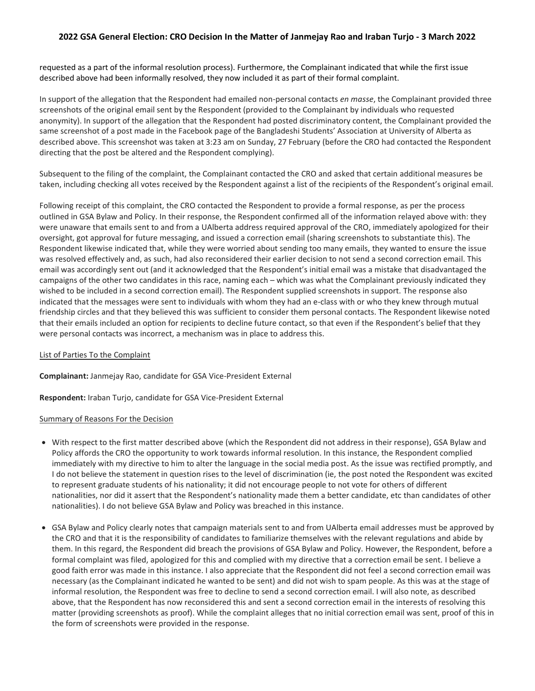requested as a part of the informal resolution process). Furthermore, the Complainant indicated that while the first issue described above had been informally resolved, they now included it as part of their formal complaint.

In support of the allegation that the Respondent had emailed non-personal contacts *en masse*, the Complainant provided three screenshots of the original email sent by the Respondent (provided to the Complainant by individuals who requested anonymity). In support of the allegation that the Respondent had posted discriminatory content, the Complainant provided the same screenshot of a post made in the Facebook page of the Bangladeshi Students' Association at University of Alberta as described above. This screenshot was taken at 3:23 am on Sunday, 27 February (before the CRO had contacted the Respondent directing that the post be altered and the Respondent complying).

Subsequent to the filing of the complaint, the Complainant contacted the CRO and asked that certain additional measures be taken, including checking all votes received by the Respondent against a list of the recipients of the Respondent's original email.

Following receipt of this complaint, the CRO contacted the Respondent to provide a formal response, as per the process outlined in GSA Bylaw and Policy. In their response, the Respondent confirmed all of the information relayed above with: they were unaware that emails sent to and from a UAlberta address required approval of the CRO, immediately apologized for their oversight, got approval for future messaging, and issued a correction email (sharing screenshots to substantiate this). The Respondent likewise indicated that, while they were worried about sending too many emails, they wanted to ensure the issue was resolved effectively and, as such, had also reconsidered their earlier decision to not send a second correction email. This email was accordingly sent out (and it acknowledged that the Respondent's initial email was a mistake that disadvantaged the campaigns of the other two candidates in this race, naming each – which was what the Complainant previously indicated they wished to be included in a second correction email). The Respondent supplied screenshots in support. The response also indicated that the messages were sent to individuals with whom they had an e-class with or who they knew through mutual friendship circles and that they believed this was sufficient to consider them personal contacts. The Respondent likewise noted that their emails included an option for recipients to decline future contact, so that even if the Respondent's belief that they were personal contacts was incorrect, a mechanism was in place to address this.

#### List of Parties To the Complaint

**Complainant:** Janmejay Rao, candidate for GSA Vice-President External

**Respondent:** Iraban Turjo, candidate for GSA Vice-President External

#### Summary of Reasons For the Decision

- With respect to the first matter described above (which the Respondent did not address in their response), GSA Bylaw and Policy affords the CRO the opportunity to work towards informal resolution. In this instance, the Respondent complied immediately with my directive to him to alter the language in the social media post. As the issue was rectified promptly, and I do not believe the statement in question rises to the level of discrimination (ie, the post noted the Respondent was excited to represent graduate students of his nationality; it did not encourage people to not vote for others of different nationalities, nor did it assert that the Respondent's nationality made them a better candidate, etc than candidates of other nationalities). I do not believe GSA Bylaw and Policy was breached in this instance.
- GSA Bylaw and Policy clearly notes that campaign materials sent to and from UAlberta email addresses must be approved by the CRO and that it is the responsibility of candidates to familiarize themselves with the relevant regulations and abide by them. In this regard, the Respondent did breach the provisions of GSA Bylaw and Policy. However, the Respondent, before a formal complaint was filed, apologized for this and complied with my directive that a correction email be sent. I believe a good faith error was made in this instance. I also appreciate that the Respondent did not feel a second correction email was necessary (as the Complainant indicated he wanted to be sent) and did not wish to spam people. As this was at the stage of informal resolution, the Respondent was free to decline to send a second correction email. I will also note, as described above, that the Respondent has now reconsidered this and sent a second correction email in the interests of resolving this matter (providing screenshots as proof). While the complaint alleges that no initial correction email was sent, proof of this in the form of screenshots were provided in the response.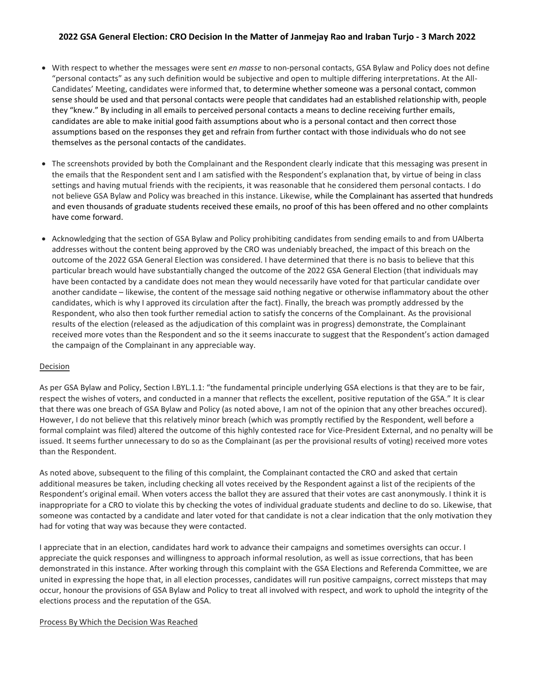- With respect to whether the messages were sent *en masse* to non-personal contacts, GSA Bylaw and Policy does not define "personal contacts" as any such definition would be subjective and open to multiple differing interpretations. At the All-Candidates' Meeting, candidates were informed that, to determine whether someone was a personal contact, common sense should be used and that personal contacts were people that candidates had an established relationship with, people they "knew." By including in all emails to perceived personal contacts a means to decline receiving further emails, candidates are able to make initial good faith assumptions about who is a personal contact and then correct those assumptions based on the responses they get and refrain from further contact with those individuals who do not see themselves as the personal contacts of the candidates.
- The screenshots provided by both the Complainant and the Respondent clearly indicate that this messaging was present in the emails that the Respondent sent and I am satisfied with the Respondent's explanation that, by virtue of being in class settings and having mutual friends with the recipients, it was reasonable that he considered them personal contacts. I do not believe GSA Bylaw and Policy was breached in this instance. Likewise, while the Complainant has asserted that hundreds and even thousands of graduate students received these emails, no proof of this has been offered and no other complaints have come forward.
- Acknowledging that the section of GSA Bylaw and Policy prohibiting candidates from sending emails to and from UAlberta addresses without the content being approved by the CRO was undeniably breached, the impact of this breach on the outcome of the 2022 GSA General Election was considered. I have determined that there is no basis to believe that this particular breach would have substantially changed the outcome of the 2022 GSA General Election (that individuals may have been contacted by a candidate does not mean they would necessarily have voted for that particular candidate over another candidate – likewise, the content of the message said nothing negative or otherwise inflammatory about the other candidates, which is why I approved its circulation after the fact). Finally, the breach was promptly addressed by the Respondent, who also then took further remedial action to satisfy the concerns of the Complainant. As the provisional results of the election (released as the adjudication of this complaint was in progress) demonstrate, the Complainant received more votes than the Respondent and so the it seems inaccurate to suggest that the Respondent's action damaged the campaign of the Complainant in any appreciable way.

#### Decision

As per GSA Bylaw and Policy, Section I.BYL.1.1: "the fundamental principle underlying GSA elections is that they are to be fair, respect the wishes of voters, and conducted in a manner that reflects the excellent, positive reputation of the GSA." It is clear that there was one breach of GSA Bylaw and Policy (as noted above, I am not of the opinion that any other breaches occured). However, I do not believe that this relatively minor breach (which was promptly rectified by the Respondent, well before a formal complaint was filed) altered the outcome of this highly contested race for Vice-President External, and no penalty will be issued. It seems further unnecessary to do so as the Complainant (as per the provisional results of voting) received more votes than the Respondent.

As noted above, subsequent to the filing of this complaint, the Complainant contacted the CRO and asked that certain additional measures be taken, including checking all votes received by the Respondent against a list of the recipients of the Respondent's original email. When voters access the ballot they are assured that their votes are cast anonymously. I think it is inappropriate for a CRO to violate this by checking the votes of individual graduate students and decline to do so. Likewise, that someone was contacted by a candidate and later voted for that candidate is not a clear indication that the only motivation they had for voting that way was because they were contacted.

I appreciate that in an election, candidates hard work to advance their campaigns and sometimes oversights can occur. I appreciate the quick responses and willingness to approach informal resolution, as well as issue corrections, that has been demonstrated in this instance. After working through this complaint with the GSA Elections and Referenda Committee, we are united in expressing the hope that, in all election processes, candidates will run positive campaigns, correct missteps that may occur, honour the provisions of GSA Bylaw and Policy to treat all involved with respect, and work to uphold the integrity of the elections process and the reputation of the GSA.

#### Process By Which the Decision Was Reached